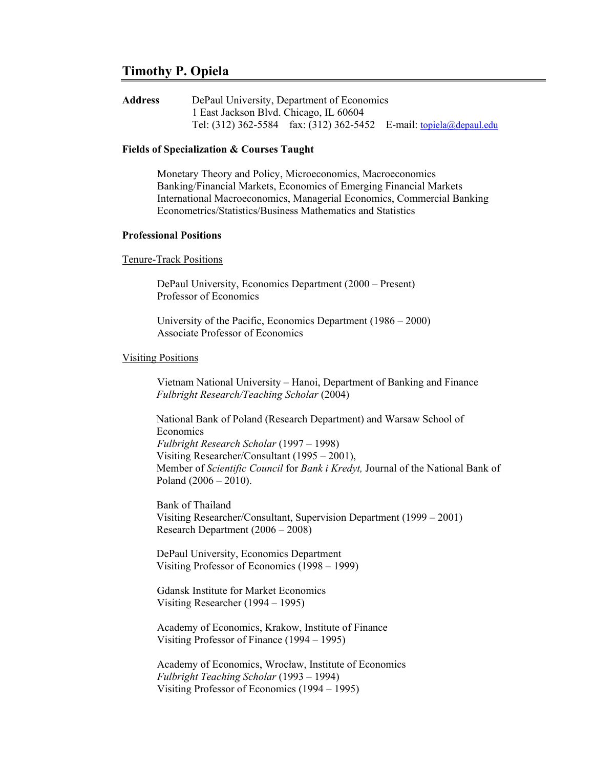# **Timothy P. Opiela**

| <b>Address</b> | DePaul University, Department of Economics |  |                                                                           |
|----------------|--------------------------------------------|--|---------------------------------------------------------------------------|
|                | 1 East Jackson Blvd. Chicago, IL 60604     |  |                                                                           |
|                |                                            |  | Tel: (312) 362-5584 fax: (312) 362-5452 E-mail: <u>topiela@depaul.edu</u> |

## **Fields of Specialization & Courses Taught**

Monetary Theory and Policy, Microeconomics, Macroeconomics Banking/Financial Markets, Economics of Emerging Financial Markets International Macroeconomics, Managerial Economics, Commercial Banking Econometrics/Statistics/Business Mathematics and Statistics

## **Professional Positions**

#### Tenure-Track Positions

DePaul University, Economics Department (2000 – Present) Professor of Economics

University of the Pacific, Economics Department (1986 – 2000) Associate Professor of Economics

### Visiting Positions

Vietnam National University – Hanoi, Department of Banking and Finance *Fulbright Research/Teaching Scholar* (2004)

National Bank of Poland (Research Department) and Warsaw School of Economics *Fulbright Research Scholar* (1997 – 1998) Visiting Researcher/Consultant (1995 – 2001), Member of *Scientific Council* for *Bank i Kredyt,* Journal of the National Bank of Poland (2006 – 2010).

Bank of Thailand Visiting Researcher/Consultant, Supervision Department (1999 – 2001) Research Department (2006 – 2008)

DePaul University, Economics Department Visiting Professor of Economics (1998 – 1999)

Gdansk Institute for Market Economics Visiting Researcher (1994 – 1995)

Academy of Economics, Krakow, Institute of Finance Visiting Professor of Finance (1994 – 1995)

Academy of Economics, Wrocław, Institute of Economics *Fulbright Teaching Scholar* (1993 – 1994) Visiting Professor of Economics (1994 – 1995)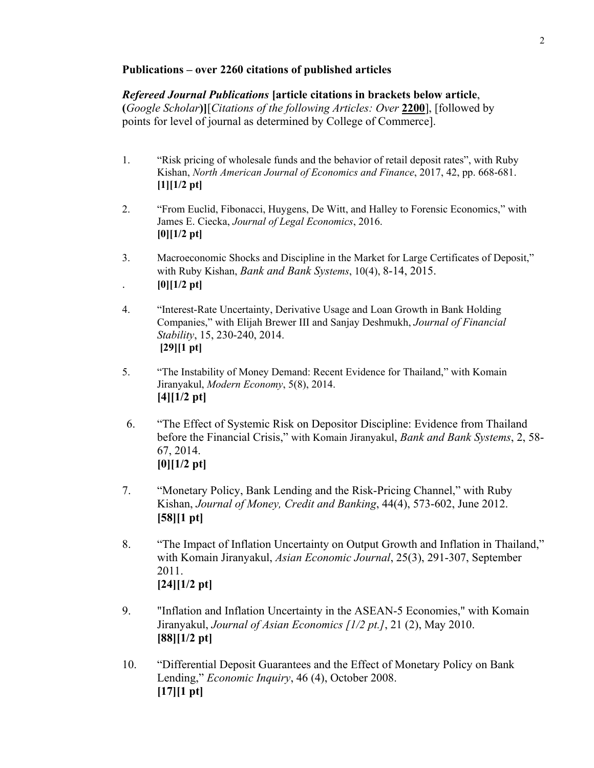## **Publications – over 2260 citations of published articles**

*Refereed Journal Publications* **[article citations in brackets below article**, **(***Google Scholar***)]**[*Citations of the following Articles: Over* **2200**], [followed by points for level of journal as determined by College of Commerce].

- 1. "Risk pricing of wholesale funds and the behavior of retail deposit rates", with Ruby Kishan, *North American Journal of Economics and Finance*, 2017, 42, pp. 668-681. **[1][1/2 pt]**
- 2. "From Euclid, Fibonacci, Huygens, De Witt, and Halley to Forensic Economics," with James E. Ciecka, *Journal of Legal Economics*, 2016. **[0][1/2 pt]**
- 3. Macroeconomic Shocks and Discipline in the Market for Large Certificates of Deposit," with Ruby Kishan, *Bank and Bank Systems*, 10(4), 8-14, 2015. .  $[0][1/2 \text{ pt}]$
- 
- 4. "Interest-Rate Uncertainty, Derivative Usage and Loan Growth in Bank Holding Companies," with Elijah Brewer III and Sanjay Deshmukh, *Journal of Financial Stability*, 15, 230-240, 2014.  **[29][1 pt]**
- 5. "The Instability of Money Demand: Recent Evidence for Thailand," with Komain Jiranyakul, *Modern Economy*, 5(8), 2014. **[4][1/2 pt]**
- 6. "The Effect of Systemic Risk on Depositor Discipline: Evidence from Thailand before the Financial Crisis," with Komain Jiranyakul, *Bank and Bank Systems*, 2, 58- 67, 2014. **[0][1/2 pt]**
- 7. "Monetary Policy, Bank Lending and the Risk-Pricing Channel," with Ruby Kishan, *Journal of Money, Credit and Banking*, 44(4), 573-602, June 2012. **[58][1 pt]**
- 8. "The Impact of Inflation Uncertainty on Output Growth and Inflation in Thailand," with Komain Jiranyakul, *Asian Economic Journal*, 25(3), 291-307, September 2011. **[24][1/2 pt]**
- 9. "Inflation and Inflation Uncertainty in the ASEAN-5 Economies," with Komain Jiranyakul, *Journal of Asian Economics [1/2 pt.]*, 21 (2), May 2010. **[88][1/2 pt]**
- 10. "Differential Deposit Guarantees and the Effect of Monetary Policy on Bank Lending," *Economic Inquiry*, 46 (4), October 2008. **[17][1 pt]**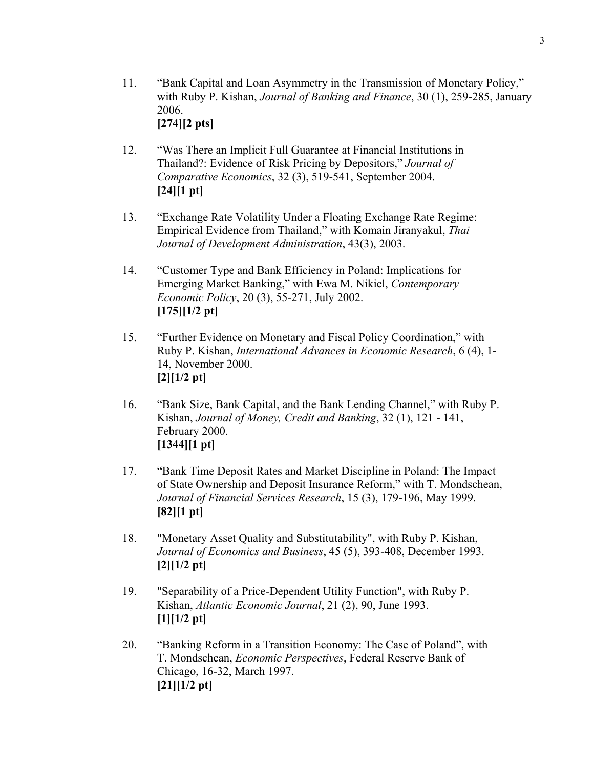- 12. "Was There an Implicit Full Guarantee at Financial Institutions in Thailand?: Evidence of Risk Pricing by Depositors," *Journal of Comparative Economics*, 32 (3), 519-541, September 2004. **[24][1 pt]**
- 13. "Exchange Rate Volatility Under a Floating Exchange Rate Regime: Empirical Evidence from Thailand," with Komain Jiranyakul, *Thai Journal of Development Administration*, 43(3), 2003.
- 14. "Customer Type and Bank Efficiency in Poland: Implications for Emerging Market Banking," with Ewa M. Nikiel, *Contemporary Economic Policy*, 20 (3), 55-271, July 2002. **[175][1/2 pt]**
- 15. "Further Evidence on Monetary and Fiscal Policy Coordination," with Ruby P. Kishan, *International Advances in Economic Research*, 6 (4), 1- 14, November 2000. **[2][1/2 pt]**
- 16. "Bank Size, Bank Capital, and the Bank Lending Channel," with Ruby P. Kishan, *Journal of Money, Credit and Banking*, 32 (1), 121 - 141, February 2000. **[1344][1 pt]**
- 17. "Bank Time Deposit Rates and Market Discipline in Poland: The Impact of State Ownership and Deposit Insurance Reform," with T. Mondschean, *Journal of Financial Services Research*, 15 (3), 179-196, May 1999. **[82][1 pt]**
- 18. "Monetary Asset Quality and Substitutability", with Ruby P. Kishan, *Journal of Economics and Business*, 45 (5), 393-408, December 1993. **[2][1/2 pt]**
- 19. "Separability of a Price-Dependent Utility Function", with Ruby P. Kishan, *Atlantic Economic Journal*, 21 (2), 90, June 1993. **[1][1/2 pt]**
- 20. "Banking Reform in a Transition Economy: The Case of Poland", with T. Mondschean, *Economic Perspectives*, Federal Reserve Bank of Chicago, 16-32, March 1997. **[21][1/2 pt]**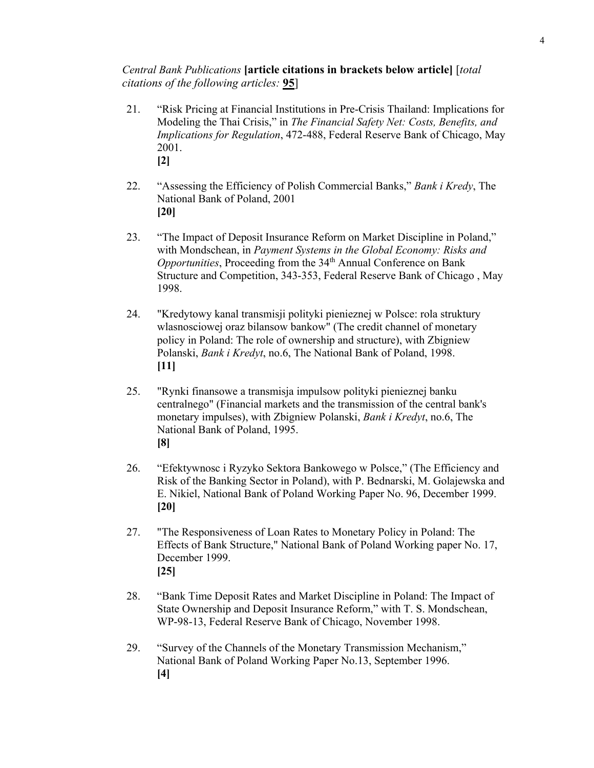## *Central Bank Publications* **[article citations in brackets below article]** [*total citations of the following articles:* **95**]

- 21. "Risk Pricing at Financial Institutions in Pre-Crisis Thailand: Implications for Modeling the Thai Crisis," in *The Financial Safety Net: Costs, Benefits, and Implications for Regulation*, 472-488, Federal Reserve Bank of Chicago, May 2001. **[2]**
- 22. "Assessing the Efficiency of Polish Commercial Banks," *Bank i Kredy*, The National Bank of Poland, 2001 **[20]**
- 23. "The Impact of Deposit Insurance Reform on Market Discipline in Poland," with Mondschean, in *Payment Systems in the Global Economy: Risks and Opportunities*, Proceeding from the 34<sup>th</sup> Annual Conference on Bank Structure and Competition, 343-353, Federal Reserve Bank of Chicago , May 1998.
- 24. "Kredytowy kanal transmisji polityki pienieznej w Polsce: rola struktury wlasnosciowej oraz bilansow bankow" (The credit channel of monetary policy in Poland: The role of ownership and structure), with Zbigniew Polanski, *Bank i Kredyt*, no.6, The National Bank of Poland, 1998. **[11]**
- 25. "Rynki finansowe a transmisja impulsow polityki pienieznej banku centralnego" (Financial markets and the transmission of the central bank's monetary impulses), with Zbigniew Polanski, *Bank i Kredyt*, no.6, The National Bank of Poland, 1995. **[8]**
- 26. "Efektywnosc i Ryzyko Sektora Bankowego w Polsce," (The Efficiency and Risk of the Banking Sector in Poland), with P. Bednarski, M. Golajewska and E. Nikiel, National Bank of Poland Working Paper No. 96, December 1999. **[20]**
- 27. "The Responsiveness of Loan Rates to Monetary Policy in Poland: The Effects of Bank Structure," National Bank of Poland Working paper No. 17, December 1999. **[25]**
- 28. "Bank Time Deposit Rates and Market Discipline in Poland: The Impact of State Ownership and Deposit Insurance Reform," with T. S. Mondschean, WP-98-13, Federal Reserve Bank of Chicago, November 1998.
- 29. "Survey of the Channels of the Monetary Transmission Mechanism," National Bank of Poland Working Paper No.13, September 1996. **[4]**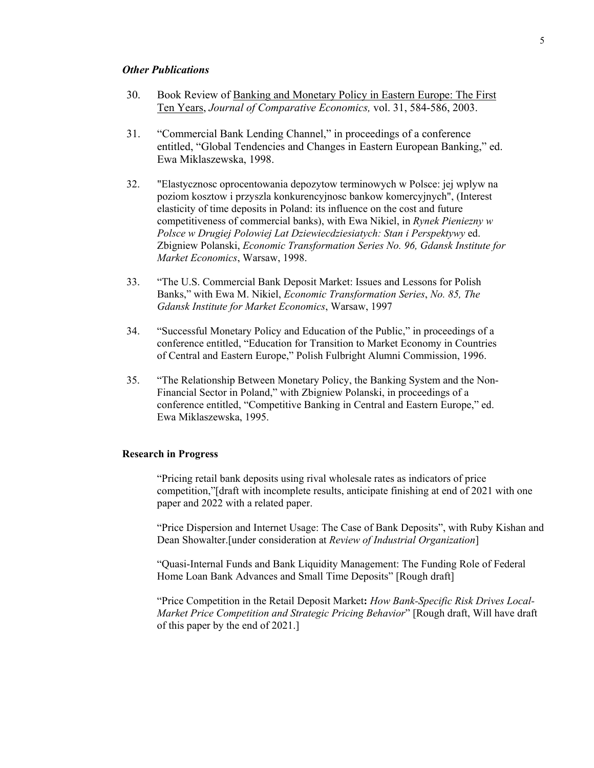### *Other Publications*

- 30. Book Review of Banking and Monetary Policy in Eastern Europe: The First Ten Years, *Journal of Comparative Economics,* vol. 31, 584-586, 2003.
- 31. "Commercial Bank Lending Channel," in proceedings of a conference entitled, "Global Tendencies and Changes in Eastern European Banking," ed. Ewa Miklaszewska, 1998.
- 32. "Elastycznosc oprocentowania depozytow terminowych w Polsce: jej wplyw na poziom kosztow i przyszla konkurencyjnosc bankow komercyjnych", (Interest elasticity of time deposits in Poland: its influence on the cost and future competitiveness of commercial banks), with Ewa Nikiel, in *Rynek Pieniezny w Polsce w Drugiej Polowiej Lat Dziewiecdziesiatych: Stan i Perspektywy* ed. Zbigniew Polanski, *Economic Transformation Series No. 96, Gdansk Institute for Market Economics*, Warsaw, 1998.
- 33. "The U.S. Commercial Bank Deposit Market: Issues and Lessons for Polish Banks," with Ewa M. Nikiel, *Economic Transformation Series*, *No. 85, The Gdansk Institute for Market Economics*, Warsaw, 1997
- 34. "Successful Monetary Policy and Education of the Public," in proceedings of a conference entitled, "Education for Transition to Market Economy in Countries of Central and Eastern Europe," Polish Fulbright Alumni Commission, 1996.
- 35. "The Relationship Between Monetary Policy, the Banking System and the Non-Financial Sector in Poland," with Zbigniew Polanski, in proceedings of a conference entitled, "Competitive Banking in Central and Eastern Europe," ed. Ewa Miklaszewska, 1995.

## **Research in Progress**

"Pricing retail bank deposits using rival wholesale rates as indicators of price competition,"[draft with incomplete results, anticipate finishing at end of 2021 with one paper and 2022 with a related paper.

"Price Dispersion and Internet Usage: The Case of Bank Deposits", with Ruby Kishan and Dean Showalter.[under consideration at *Review of Industrial Organization*]

"Quasi-Internal Funds and Bank Liquidity Management: The Funding Role of Federal Home Loan Bank Advances and Small Time Deposits" [Rough draft]

"Price Competition in the Retail Deposit Market**:** *How Bank-Specific Risk Drives Local-Market Price Competition and Strategic Pricing Behavior*" [Rough draft, Will have draft of this paper by the end of 2021.]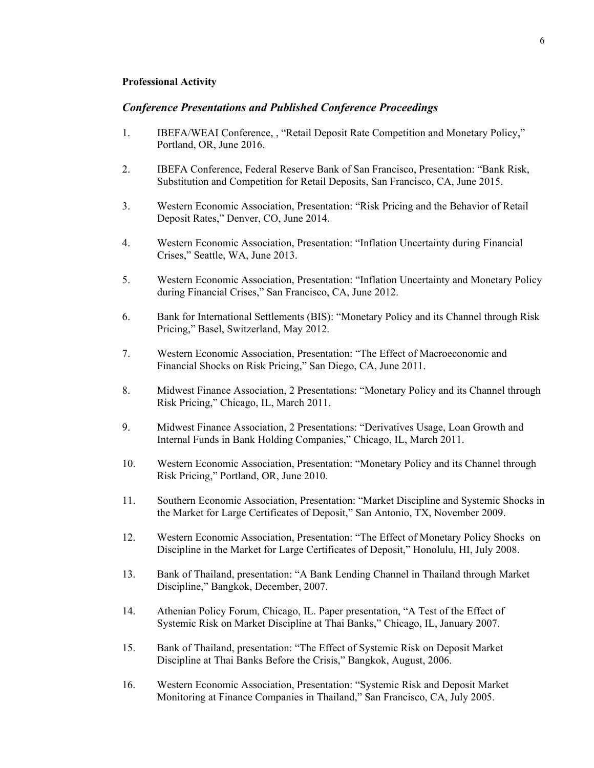#### **Professional Activity**

## *Conference Presentations and Published Conference Proceedings*

- 1. IBEFA/WEAI Conference, , "Retail Deposit Rate Competition and Monetary Policy," Portland, OR, June 2016.
- 2. IBEFA Conference, Federal Reserve Bank of San Francisco, Presentation: "Bank Risk, Substitution and Competition for Retail Deposits, San Francisco, CA, June 2015.
- 3. Western Economic Association, Presentation: "Risk Pricing and the Behavior of Retail Deposit Rates," Denver, CO, June 2014.
- 4. Western Economic Association, Presentation: "Inflation Uncertainty during Financial Crises," Seattle, WA, June 2013.
- 5. Western Economic Association, Presentation: "Inflation Uncertainty and Monetary Policy during Financial Crises," San Francisco, CA, June 2012.
- 6. Bank for International Settlements (BIS): "Monetary Policy and its Channel through Risk Pricing," Basel, Switzerland, May 2012.
- 7. Western Economic Association, Presentation: "The Effect of Macroeconomic and Financial Shocks on Risk Pricing," San Diego, CA, June 2011.
- 8. Midwest Finance Association, 2 Presentations: "Monetary Policy and its Channel through Risk Pricing," Chicago, IL, March 2011.
- 9. Midwest Finance Association, 2 Presentations: "Derivatives Usage, Loan Growth and Internal Funds in Bank Holding Companies," Chicago, IL, March 2011.
- 10. Western Economic Association, Presentation: "Monetary Policy and its Channel through Risk Pricing," Portland, OR, June 2010.
- 11. Southern Economic Association, Presentation: "Market Discipline and Systemic Shocks in the Market for Large Certificates of Deposit," San Antonio, TX, November 2009.
- 12. Western Economic Association, Presentation: "The Effect of Monetary Policy Shocks on Discipline in the Market for Large Certificates of Deposit," Honolulu, HI, July 2008.
- 13. Bank of Thailand, presentation: "A Bank Lending Channel in Thailand through Market Discipline," Bangkok, December, 2007.
- 14. Athenian Policy Forum, Chicago, IL. Paper presentation, "A Test of the Effect of Systemic Risk on Market Discipline at Thai Banks," Chicago, IL, January 2007.
- 15. Bank of Thailand, presentation: "The Effect of Systemic Risk on Deposit Market Discipline at Thai Banks Before the Crisis," Bangkok, August, 2006.
- 16. Western Economic Association, Presentation: "Systemic Risk and Deposit Market Monitoring at Finance Companies in Thailand," San Francisco, CA, July 2005.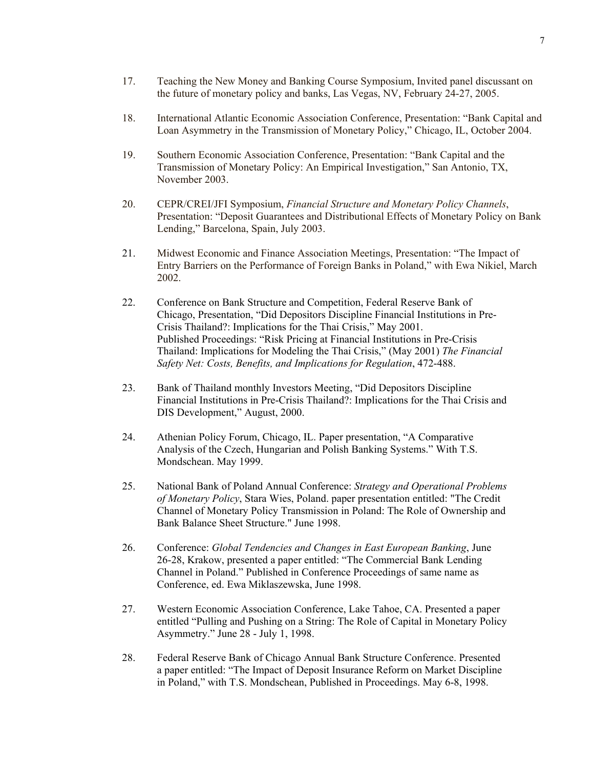- 17. Teaching the New Money and Banking Course Symposium, Invited panel discussant on the future of monetary policy and banks, Las Vegas, NV, February 24-27, 2005.
- 18. International Atlantic Economic Association Conference, Presentation: "Bank Capital and Loan Asymmetry in the Transmission of Monetary Policy," Chicago, IL, October 2004.
- 19. Southern Economic Association Conference, Presentation: "Bank Capital and the Transmission of Monetary Policy: An Empirical Investigation," San Antonio, TX, November 2003.
- 20. CEPR/CREI/JFI Symposium, *Financial Structure and Monetary Policy Channels*, Presentation: "Deposit Guarantees and Distributional Effects of Monetary Policy on Bank Lending," Barcelona, Spain, July 2003.
- 21. Midwest Economic and Finance Association Meetings, Presentation: "The Impact of Entry Barriers on the Performance of Foreign Banks in Poland," with Ewa Nikiel, March 2002.
- 22. Conference on Bank Structure and Competition, Federal Reserve Bank of Chicago, Presentation, "Did Depositors Discipline Financial Institutions in Pre-Crisis Thailand?: Implications for the Thai Crisis," May 2001. Published Proceedings: "Risk Pricing at Financial Institutions in Pre-Crisis Thailand: Implications for Modeling the Thai Crisis," (May 2001) *The Financial Safety Net: Costs, Benefits, and Implications for Regulation*, 472-488.
- 23. Bank of Thailand monthly Investors Meeting, "Did Depositors Discipline Financial Institutions in Pre-Crisis Thailand?: Implications for the Thai Crisis and DIS Development," August, 2000.
- 24. Athenian Policy Forum, Chicago, IL. Paper presentation, "A Comparative Analysis of the Czech, Hungarian and Polish Banking Systems." With T.S. Mondschean. May 1999.
- 25. National Bank of Poland Annual Conference: *Strategy and Operational Problems of Monetary Policy*, Stara Wies, Poland. paper presentation entitled: "The Credit Channel of Monetary Policy Transmission in Poland: The Role of Ownership and Bank Balance Sheet Structure." June 1998.
- 26. Conference: *Global Tendencies and Changes in East European Banking*, June 26-28, Krakow, presented a paper entitled: "The Commercial Bank Lending Channel in Poland." Published in Conference Proceedings of same name as Conference, ed. Ewa Miklaszewska, June 1998.
- 27. Western Economic Association Conference, Lake Tahoe, CA. Presented a paper entitled "Pulling and Pushing on a String: The Role of Capital in Monetary Policy Asymmetry." June 28 - July 1, 1998.
- 28. Federal Reserve Bank of Chicago Annual Bank Structure Conference. Presented a paper entitled: "The Impact of Deposit Insurance Reform on Market Discipline in Poland," with T.S. Mondschean, Published in Proceedings. May 6-8, 1998.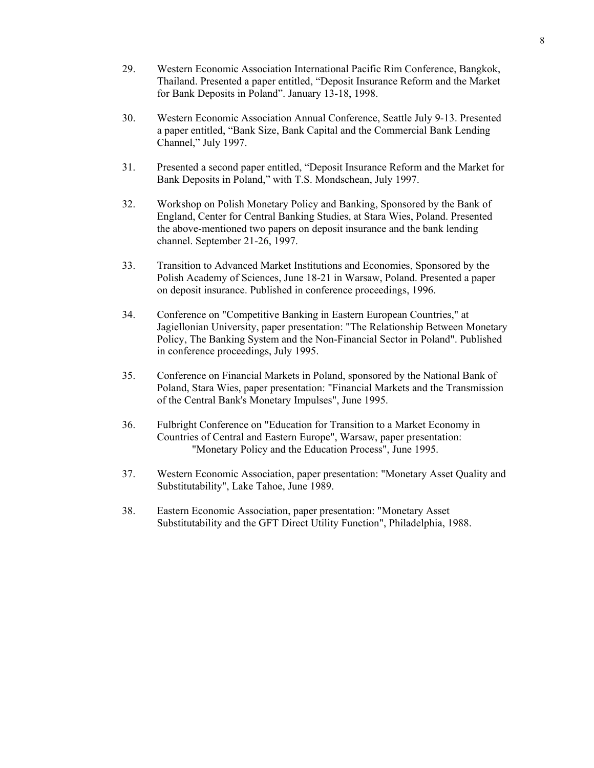- 29. Western Economic Association International Pacific Rim Conference, Bangkok, Thailand. Presented a paper entitled, "Deposit Insurance Reform and the Market for Bank Deposits in Poland". January 13-18, 1998.
- 30. Western Economic Association Annual Conference, Seattle July 9-13. Presented a paper entitled, "Bank Size, Bank Capital and the Commercial Bank Lending Channel," July 1997.
- 31. Presented a second paper entitled, "Deposit Insurance Reform and the Market for Bank Deposits in Poland," with T.S. Mondschean, July 1997.
- 32. Workshop on Polish Monetary Policy and Banking, Sponsored by the Bank of England, Center for Central Banking Studies, at Stara Wies, Poland. Presented the above-mentioned two papers on deposit insurance and the bank lending channel. September 21-26, 1997.
- 33. Transition to Advanced Market Institutions and Economies, Sponsored by the Polish Academy of Sciences, June 18-21 in Warsaw, Poland. Presented a paper on deposit insurance. Published in conference proceedings, 1996.
- 34. Conference on "Competitive Banking in Eastern European Countries," at Jagiellonian University, paper presentation: "The Relationship Between Monetary Policy, The Banking System and the Non-Financial Sector in Poland". Published in conference proceedings, July 1995.
- 35. Conference on Financial Markets in Poland, sponsored by the National Bank of Poland, Stara Wies, paper presentation: "Financial Markets and the Transmission of the Central Bank's Monetary Impulses", June 1995.
- 36. Fulbright Conference on "Education for Transition to a Market Economy in Countries of Central and Eastern Europe", Warsaw, paper presentation: "Monetary Policy and the Education Process", June 1995.
- 37. Western Economic Association, paper presentation: "Monetary Asset Quality and Substitutability", Lake Tahoe, June 1989.
- 38. Eastern Economic Association, paper presentation: "Monetary Asset Substitutability and the GFT Direct Utility Function", Philadelphia, 1988.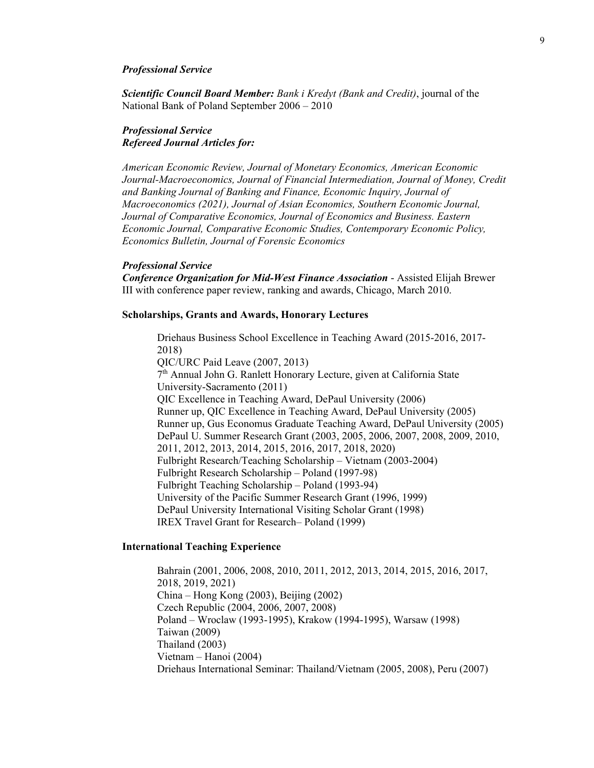#### *Professional Service*

*Scientific Council Board Member: Bank i Kredyt (Bank and Credit)*, journal of the National Bank of Poland September 2006 – 2010

#### *Professional Service Refereed Journal Articles for:*

*American Economic Review, Journal of Monetary Economics, American Economic Journal-Macroeconomics, Journal of Financial Intermediation, Journal of Money, Credit and Banking Journal of Banking and Finance, Economic Inquiry, Journal of Macroeconomics (2021), Journal of Asian Economics, Southern Economic Journal, Journal of Comparative Economics, Journal of Economics and Business. Eastern Economic Journal, Comparative Economic Studies, Contemporary Economic Policy, Economics Bulletin, Journal of Forensic Economics*

#### *Professional Service*

*Conference Organization for Mid-West Finance Association* - Assisted Elijah Brewer III with conference paper review, ranking and awards, Chicago, March 2010.

#### **Scholarships, Grants and Awards, Honorary Lectures**

Driehaus Business School Excellence in Teaching Award (2015-2016, 2017- 2018) QIC/URC Paid Leave (2007, 2013) 7th Annual John G. Ranlett Honorary Lecture, given at California State University-Sacramento (2011) QIC Excellence in Teaching Award, DePaul University (2006) Runner up, QIC Excellence in Teaching Award, DePaul University (2005) Runner up, Gus Economus Graduate Teaching Award, DePaul University (2005) DePaul U. Summer Research Grant (2003, 2005, 2006, 2007, 2008, 2009, 2010, 2011, 2012, 2013, 2014, 2015, 2016, 2017, 2018, 2020) Fulbright Research/Teaching Scholarship – Vietnam (2003-2004) Fulbright Research Scholarship – Poland (1997-98) Fulbright Teaching Scholarship – Poland (1993-94) University of the Pacific Summer Research Grant (1996, 1999) DePaul University International Visiting Scholar Grant (1998) IREX Travel Grant for Research– Poland (1999)

#### **International Teaching Experience**

Bahrain (2001, 2006, 2008, 2010, 2011, 2012, 2013, 2014, 2015, 2016, 2017, 2018, 2019, 2021) China – Hong Kong (2003), Beijing (2002) Czech Republic (2004, 2006, 2007, 2008) Poland – Wroclaw (1993-1995), Krakow (1994-1995), Warsaw (1998) Taiwan (2009) Thailand (2003) Vietnam – Hanoi (2004) Driehaus International Seminar: Thailand/Vietnam (2005, 2008), Peru (2007)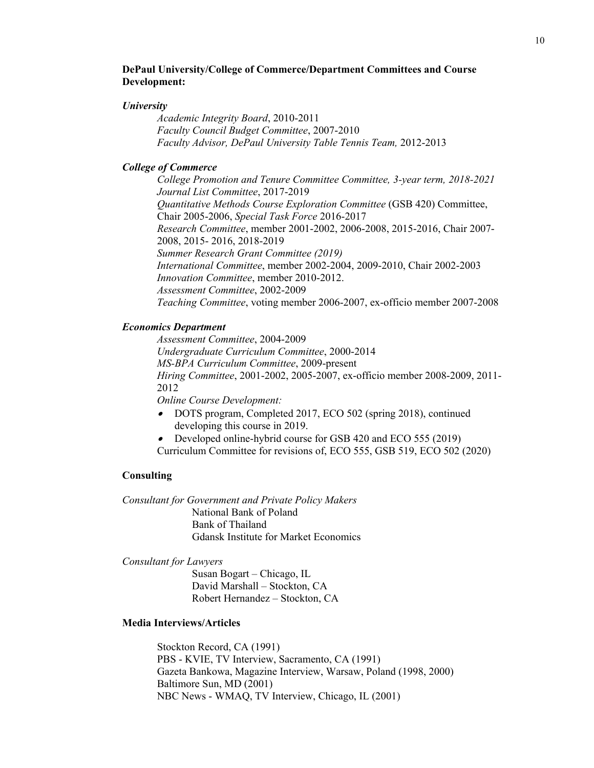### **DePaul University/College of Commerce/Department Committees and Course Development:**

#### *University*

*Academic Integrity Board*, 2010-2011 *Faculty Council Budget Committee*, 2007-2010 *Faculty Advisor, DePaul University Table Tennis Team,* 2012-2013

#### *College of Commerce*

*College Promotion and Tenure Committee Committee, 3-year term, 2018-2021 Journal List Committee*, 2017-2019 *Quantitative Methods Course Exploration Committee* (GSB 420) Committee, Chair 2005-2006, *Special Task Force* 2016-2017 *Research Committee*, member 2001-2002, 2006-2008, 2015-2016, Chair 2007- 2008, 2015- 2016, 2018-2019 *Summer Research Grant Committee (2019) International Committee*, member 2002-2004, 2009-2010, Chair 2002-2003 *Innovation Committee*, member 2010-2012. *Assessment Committee*, 2002-2009 *Teaching Committee*, voting member 2006-2007, ex-officio member 2007-2008

#### *Economics Department*

*Assessment Committee*, 2004-2009 *Undergraduate Curriculum Committee*, 2000-2014 *MS-BPA Curriculum Committee*, 2009-present *Hiring Committee*, 2001-2002, 2005-2007, ex-officio member 2008-2009, 2011- 2012 *Online Course Development:* 

• DOTS program, Completed 2017, ECO 502 (spring 2018), continued developing this course in 2019.

• Developed online-hybrid course for GSB 420 and ECO 555 (2019)

Curriculum Committee for revisions of, ECO 555, GSB 519, ECO 502 (2020)

#### **Consulting**

*Consultant for Government and Private Policy Makers* National Bank of Poland Bank of Thailand Gdansk Institute for Market Economics

*Consultant for Lawyers*

Susan Bogart – Chicago, IL David Marshall – Stockton, CA Robert Hernandez – Stockton, CA

#### **Media Interviews/Articles**

Stockton Record, CA (1991) PBS - KVIE, TV Interview, Sacramento, CA (1991) Gazeta Bankowa, Magazine Interview, Warsaw, Poland (1998, 2000) Baltimore Sun, MD (2001) NBC News - WMAQ, TV Interview, Chicago, IL (2001)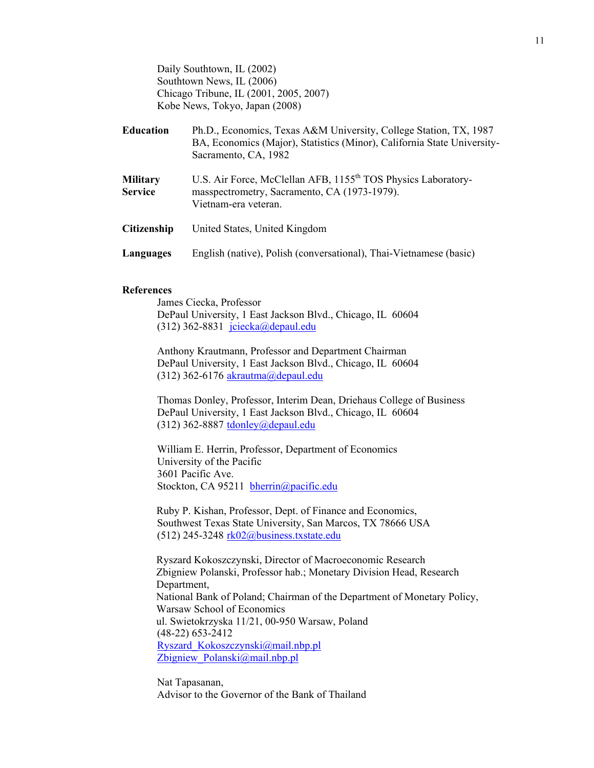Daily Southtown, IL (2002) Southtown News, IL (2006) Chicago Tribune, IL (2001, 2005, 2007) Kobe News, Tokyo, Japan (2008)

| <b>Education</b>                  | Ph.D., Economics, Texas A&M University, College Station, TX, 1987<br>BA, Economics (Major), Statistics (Minor), California State University-<br>Sacramento, CA, 1982 |  |
|-----------------------------------|----------------------------------------------------------------------------------------------------------------------------------------------------------------------|--|
| <b>Military</b><br><b>Service</b> | U.S. Air Force, McClellan AFB, 1155 <sup>th</sup> TOS Physics Laboratory-<br>masspectrometry, Sacramento, CA (1973-1979).<br>Vietnam-era veteran.                    |  |
| <b>Citizenship</b>                | United States, United Kingdom                                                                                                                                        |  |
| Languages                         | English (native), Polish (conversational), Thai-Vietnamese (basic)                                                                                                   |  |

#### **References**

James Ciecka, Professor DePaul University, 1 East Jackson Blvd., Chicago, IL 60604 (312) 362-8831  $\text{jciecka}$ @depaul.edu

Anthony Krautmann, Professor and Department Chairman DePaul University, 1 East Jackson Blvd., Chicago, IL 60604 (312) 362-6176  $akrautma@depaul.edu$ 

Thomas Donley, Professor, Interim Dean, Driehaus College of Business DePaul University, 1 East Jackson Blvd., Chicago, IL 60604 (312) 362-8887 [tdonley@depaul.edu](mailto:tdonley@depaul.edu)

William E. Herrin, Professor, Department of Economics University of the Pacific 3601 Pacific Ave. Stockton, CA 95211 [bherrin@pacific.edu](mailto:bherrin@pacific.edu)

Ruby P. Kishan, Professor, Dept. of Finance and Economics, Southwest Texas State University, San Marcos, TX 78666 USA  $(512)$  245-3248 [rk02@business.txstate.edu](mailto:rk02@business.txstate.edu)

Ryszard Kokoszczynski, Director of Macroeconomic Research Zbigniew Polanski, Professor hab.; Monetary Division Head, Research Department, National Bank of Poland; Chairman of the Department of Monetary Policy, Warsaw School of Economics ul. Swietokrzyska 11/21, 00-950 Warsaw, Poland (48-22) 653-2412 [Ryszard\\_Kokoszczynski@mail.nbp.pl](mailto:Ryszard_Kokoszczynski@mail.nbp.pl) Zbigniew Polanski@mail.nbp.pl

Nat Tapasanan, Advisor to the Governor of the Bank of Thailand